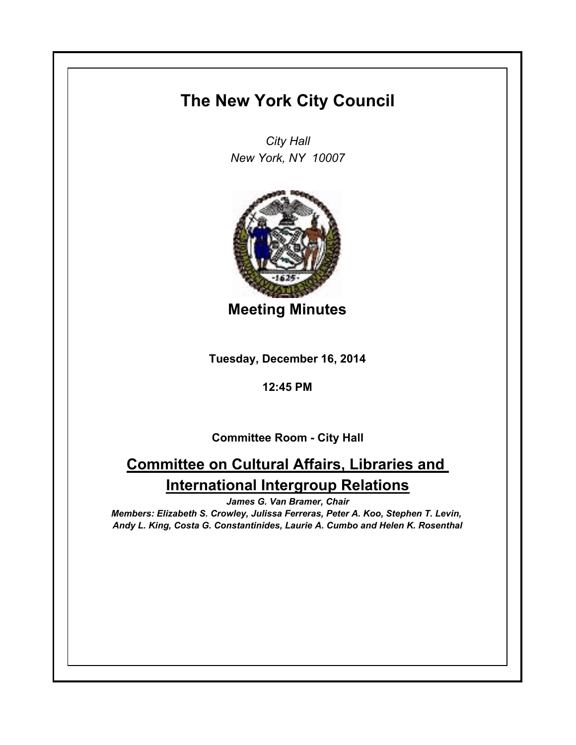## **The New York City Council**

*City Hall New York, NY 10007*



**Meeting Minutes**

**Tuesday, December 16, 2014**

**12:45 PM**

**Committee Room - City Hall**

## **Committee on Cultural Affairs, Libraries and International Intergroup Relations**

*James G. Van Bramer, Chair*

*Members: Elizabeth S. Crowley, Julissa Ferreras, Peter A. Koo, Stephen T. Levin, Andy L. King, Costa G. Constantinides, Laurie A. Cumbo and Helen K. Rosenthal*